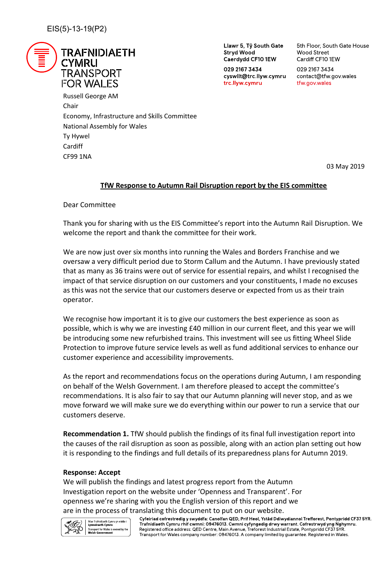

Llawr 5, Tŷ South Gate **Stryd Wood** Caerdydd CF10 1EW

029 2167 3434 cyswllt@trc.llyw.cymru trc.llyw.cymru

5th Floor, South Gate House **Wood Street** Cardiff CF10 1EW

029 2167 3434 contact@tfw.gov.wales tfw.gov.wales

Russell George AM Chair Economy, Infrastructure and Skills Committee National Assembly for Wales Ty Hywel Cardiff CF99 1NA

03 May 2019

# **TfW Response to Autumn Rail Disruption report by the EIS committee**

Dear Committee

Thank you for sharing with us the EIS Committee's report into the Autumn Rail Disruption. We welcome the report and thank the committee for their work.

We are now just over six months into running the Wales and Borders Franchise and we oversaw a very difficult period due to Storm Callum and the Autumn. I have previously stated that as many as 36 trains were out of service for essential repairs, and whilst I recognised the impact of that service disruption on our customers and your constituents, I made no excuses as this was not the service that our customers deserve or expected from us as their train operator.

We recognise how important it is to give our customers the best experience as soon as possible, which is why we are investing £40 million in our current fleet, and this year we will be introducing some new refurbished trains. This investment will see us fitting Wheel Slide Protection to improve future service levels as well as fund additional services to enhance our customer experience and accessibility improvements.

As the report and recommendations focus on the operations during Autumn, I am responding on behalf of the Welsh Government. I am therefore pleased to accept the committee's recommendations. It is also fair to say that our Autumn planning will never stop, and as we move forward we will make sure we do everything within our power to run a service that our customers deserve.

**Recommendation 1.** TfW should publish the findings of its final full investigation report into the causes of the rail disruption as soon as possible, along with an action plan setting out how it is responding to the findings and full details of its preparedness plans for Autumn 2019.

## **Response: Accept**

We will publish the findings and latest progress report from the Autumn Investigation report on the website under 'Openness and Transparent'. For openness we're sharing with you the English version of this report and we



are in the process of translating this document to put on our website.<br>Cyfeiriad cofrestredig y swyddfa: Canolfan QED, Prif Heol, Ystâd Ddiwydiannol Trefforest, Pontypridd CF37 5YR. Trafnidiaeth Cymru rhif cwmni: 09476013. Cwmni cyfyngedig drwy warrant. Cofrestrwyd yng Nghymru. Registered office address: QED Centre, Main Avenue, Treforest Industrial Estate, Pontypridd CF37 5YR. Transport for Wales company number: 09476013. A company limited by guarantee. Registered in Wales.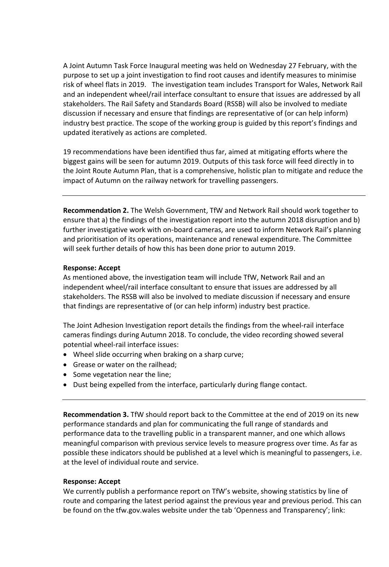A Joint Autumn Task Force Inaugural meeting was held on Wednesday 27 February, with the purpose to set up a joint investigation to find root causes and identify measures to minimise risk of wheel flats in 2019. The investigation team includes Transport for Wales, Network Rail and an independent wheel/rail interface consultant to ensure that issues are addressed by all stakeholders. The Rail Safety and Standards Board (RSSB) will also be involved to mediate discussion if necessary and ensure that findings are representative of (or can help inform) industry best practice. The scope of the working group is guided by this report's findings and updated iteratively as actions are completed.

19 recommendations have been identified thus far, aimed at mitigating efforts where the biggest gains will be seen for autumn 2019. Outputs of this task force will feed directly in to the Joint Route Autumn Plan, that is a comprehensive, holistic plan to mitigate and reduce the impact of Autumn on the railway network for travelling passengers.

**Recommendation 2.** The Welsh Government, TfW and Network Rail should work together to ensure that a) the findings of the investigation report into the autumn 2018 disruption and b) further investigative work with on-board cameras, are used to inform Network Rail's planning and prioritisation of its operations, maintenance and renewal expenditure. The Committee will seek further details of how this has been done prior to autumn 2019.

## **Response: Accept**

As mentioned above, the investigation team will include TfW, Network Rail and an independent wheel/rail interface consultant to ensure that issues are addressed by all stakeholders. The RSSB will also be involved to mediate discussion if necessary and ensure that findings are representative of (or can help inform) industry best practice.

The Joint Adhesion Investigation report details the findings from the wheel-rail interface cameras findings during Autumn 2018. To conclude, the video recording showed several potential wheel-rail interface issues:

- Wheel slide occurring when braking on a sharp curve;
- Grease or water on the railhead;
- Some vegetation near the line;
- Dust being expelled from the interface, particularly during flange contact.

**Recommendation 3.** TfW should report back to the Committee at the end of 2019 on its new performance standards and plan for communicating the full range of standards and performance data to the travelling public in a transparent manner, and one which allows meaningful comparison with previous service levels to measure progress over time. As far as possible these indicators should be published at a level which is meaningful to passengers, i.e. at the level of individual route and service.

## **Response: Accept**

We currently publish a performance report on TfW's website, showing statistics by line of route and comparing the latest period against the previous year and previous period. This can be found on the tfw.gov.wales website under the tab 'Openness and Transparency'; link: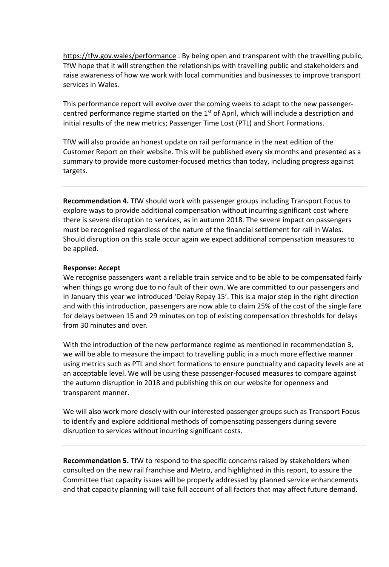<https://tfw.gov.wales/performance> . By being open and transparent with the travelling public, TfW hope that it will strengthen the relationships with travelling public and stakeholders and raise awareness of how we work with local communities and businesses to improve transport services in Wales.

This performance report will evolve over the coming weeks to adapt to the new passengercentred performance regime started on the 1<sup>st</sup> of April, which will include a description and initial results of the new metrics; Passenger Time Lost (PTL) and Short Formations.

TfW will also provide an honest update on rail performance in the next edition of the Customer Report on their website. This will be published every six months and presented as a summary to provide more customer-focused metrics than today, including progress against targets.

**Recommendation 4.** TfW should work with passenger groups including Transport Focus to explore ways to provide additional compensation without incurring significant cost where there is severe disruption to services, as in autumn 2018. The severe impact on passengers must be recognised regardless of the nature of the financial settlement for rail in Wales. Should disruption on this scale occur again we expect additional compensation measures to be applied.

#### **Response: Accept**

We recognise passengers want a reliable train service and to be able to be compensated fairly when things go wrong due to no fault of their own. We are committed to our passengers and in January this year we introduced 'Delay Repay 15'. This is a major step in the right direction and with this introduction, passengers are now able to claim 25% of the cost of the single fare for delays between 15 and 29 minutes on top of existing compensation thresholds for delays from 30 minutes and over.

With the introduction of the new performance regime as mentioned in recommendation 3, we will be able to measure the impact to travelling public in a much more effective manner using metrics such as PTL and short formations to ensure punctuality and capacity levels are at an acceptable level. We will be using these passenger-focused measures to compare against the autumn disruption in 2018 and publishing this on our website for openness and transparent manner.

We will also work more closely with our interested passenger groups such as Transport Focus to identify and explore additional methods of compensating passengers during severe disruption to services without incurring significant costs.

**Recommendation 5.** TfW to respond to the specific concerns raised by stakeholders when consulted on the new rail franchise and Metro, and highlighted in this report, to assure the Committee that capacity issues will be properly addressed by planned service enhancements and that capacity planning will take full account of all factors that may affect future demand.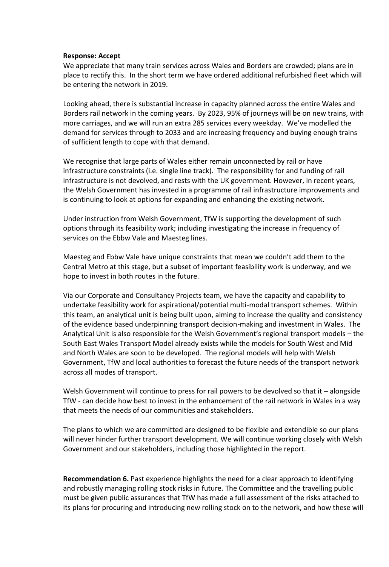#### **Response: Accept**

We appreciate that many train services across Wales and Borders are crowded; plans are in place to rectify this. In the short term we have ordered additional refurbished fleet which will be entering the network in 2019.

Looking ahead, there is substantial increase in capacity planned across the entire Wales and Borders rail network in the coming years. By 2023, 95% of journeys will be on new trains, with more carriages, and we will run an extra 285 services every weekday. We've modelled the demand for services through to 2033 and are increasing frequency and buying enough trains of sufficient length to cope with that demand.

We recognise that large parts of Wales either remain unconnected by rail or have infrastructure constraints (i.e. single line track). The responsibility for and funding of rail infrastructure is not devolved, and rests with the UK government. However, in recent years, the Welsh Government has invested in a programme of rail infrastructure improvements and is continuing to look at options for expanding and enhancing the existing network.

Under instruction from Welsh Government, TfW is supporting the development of such options through its feasibility work; including investigating the increase in frequency of services on the Ebbw Vale and Maesteg lines.

Maesteg and Ebbw Vale have unique constraints that mean we couldn't add them to the Central Metro at this stage, but a subset of important feasibility work is underway, and we hope to invest in both routes in the future.

Via our Corporate and Consultancy Projects team, we have the capacity and capability to undertake feasibility work for aspirational/potential multi-modal transport schemes. Within this team, an analytical unit is being built upon, aiming to increase the quality and consistency of the evidence based underpinning transport decision-making and investment in Wales. The Analytical Unit is also responsible for the Welsh Government's regional transport models – the South East Wales Transport Model already exists while the models for South West and Mid and North Wales are soon to be developed. The regional models will help with Welsh Government, TfW and local authorities to forecast the future needs of the transport network across all modes of transport.

Welsh Government will continue to press for rail powers to be devolved so that it – alongside TfW - can decide how best to invest in the enhancement of the rail network in Wales in a way that meets the needs of our communities and stakeholders.

The plans to which we are committed are designed to be flexible and extendible so our plans will never hinder further transport development. We will continue working closely with Welsh Government and our stakeholders, including those highlighted in the report.

**Recommendation 6.** Past experience highlights the need for a clear approach to identifying and robustly managing rolling stock risks in future. The Committee and the travelling public must be given public assurances that TfW has made a full assessment of the risks attached to its plans for procuring and introducing new rolling stock on to the network, and how these will